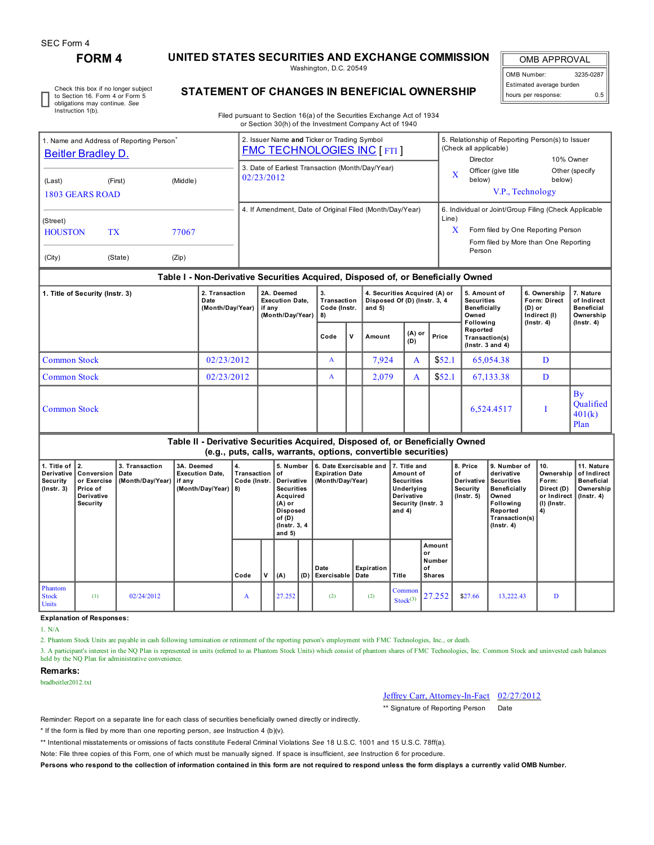# **FORM 4 UNITED STATES SECURITIES AND EXCHANGE COMMISSION**

Washington, D.C. 20549

OMB APPROVAL OMB Number: 3235-0287 Estimated average burden hours per response: 0.5

Check this box if no longer subject to Section 16. Form 4 or Form 5 obligations may continue. *See* Instruction 1(b).

## **STATEMENT OF CHANGES IN BENEFICIAL OWNERSHIP**

Filed pursuant to Section 16(a) of the Securities Exchange Act of 1934 or Section 30(h) of the Investment Company Act of 1940

| 1. Name and Address of Reporting Person <sup>®</sup><br>Beitler Bradley D. |                                                                                                                          |  | 2. Issuer Name and Ticker or Trading Symbol<br><b>FMC TECHNOLOGIES INC [FTI]</b> | 5. Relationship of Reporting Person(s) to Issuer<br>(Check all applicable)                                                                                             |                                                               |                                       |  |  |  |  |  |
|----------------------------------------------------------------------------|--------------------------------------------------------------------------------------------------------------------------|--|----------------------------------------------------------------------------------|------------------------------------------------------------------------------------------------------------------------------------------------------------------------|---------------------------------------------------------------|---------------------------------------|--|--|--|--|--|
| (Last)                                                                     | (Middle)<br>(First)<br>1803 GEARS ROAD<br>(Street)<br><b>HOUSTON</b><br><b>TX</b><br>77067<br>(City)<br>(State)<br>(Zip) |  | 3. Date of Earliest Transaction (Month/Day/Year)<br>02/23/2012                   | X                                                                                                                                                                      | Director<br>Officer (give title<br>below)<br>V.P., Technology | 10% Owner<br>Other (specify<br>below) |  |  |  |  |  |
|                                                                            |                                                                                                                          |  | 4. If Amendment, Date of Original Filed (Month/Day/Year)                         | 6. Individual or Joint/Group Filing (Check Applicable<br>Line)<br>$\mathbf x$<br>Form filed by One Reporting Person<br>Form filed by More than One Reporting<br>Person |                                                               |                                       |  |  |  |  |  |
|                                                                            | Table I - Non-Derivative Securities Acquired, Disposed of, or Beneficially Owned                                         |  |                                                                                  |                                                                                                                                                                        |                                                               |                                       |  |  |  |  |  |

### **Table I - Non-Derivative Securities Acquired, Disposed of, or Beneficially Owned**

| 1. Title of Security (Instr. 3) | 2. Transaction<br>Date<br>(Month/Day/Year) | 2A. Deemed<br><b>Execution Date.</b><br>if any<br>(Month/Day/Year) | 3.<br>Transaction<br>Code (Instr.<br>8) |   | 4. Securities Acquired (A) or<br>Disposed Of (D) (Instr. 3, 4<br>and $5)$ |               |        | 5. Amount of<br><b>Securities</b><br>Beneficially<br>Owned        | 6. Ownership<br>Form: Direct<br>(D) or<br>Indirect (I) | 7. Nature<br>of Indirect<br><b>Beneficial</b><br>Ownership |
|---------------------------------|--------------------------------------------|--------------------------------------------------------------------|-----------------------------------------|---|---------------------------------------------------------------------------|---------------|--------|-------------------------------------------------------------------|--------------------------------------------------------|------------------------------------------------------------|
|                                 |                                            |                                                                    | Code                                    | v | Amount                                                                    | (A) or<br>(D) | Price  | Following<br>Reported<br>Transaction(s)<br>$($ lnstr. 3 and 4 $)$ | $($ lnstr. 4 $)$                                       | $($ lnstr. 4 $)$                                           |
| <b>Common Stock</b>             | 02/23/2012                                 |                                                                    | A                                       |   | 7,924                                                                     | A             | \$52.1 | 65,054.38                                                         | D                                                      |                                                            |
| <b>Common Stock</b>             | 02/23/2012                                 |                                                                    | A                                       |   | 2,079                                                                     | A             | \$52.1 | 67,133.38                                                         | D                                                      |                                                            |
| <b>Common Stock</b>             |                                            |                                                                    |                                         |   |                                                                           |               |        | 6,524.4517                                                        |                                                        | By<br>Qualified<br>401(k)<br>Plan                          |

### **Table II - Derivative Securities Acquired, Disposed of, or Beneficially Owned (e.g., puts, calls, warrants, options, convertible securities)**

| 1. Title of $ 2$ .<br>Derivative I<br><b>Security</b><br>  (Instr. 3) | Conversion   Date<br>or Exercise<br>Price of<br>Derivative<br>Security | 3. Transaction<br>(Month/Day/Year) if any | 3A. Deemed<br><b>Execution Date.</b><br>(Month/Day/Year)   8) | 4.<br>Transaction   of<br>Code (Instr. |  | 5. Number<br>Derivative<br><b>Securities</b><br>Acquired<br>$(A)$ or<br>Disposed<br>of $(D)$<br>(Instr. 3, 4)<br>and $5)$ |     | ∣6. Date Exercisable and  17. Title and<br><b>Expiration Date</b><br>(Month/Day/Year) |                    | Amount of<br><b>Securities</b><br>Underlying<br>Derivative<br>Security (Instr. 3<br>and 4) |                                               | 8. Price<br>∣ of<br>Derivative<br>Security<br>$($ lnstr. 5 $)$ | 9. Number of<br>derivative<br><b>Securities</b><br>Beneficially<br>Owned<br>Following<br>Reported<br>Transaction(s)<br>$($ lnstr. 4 $)$ | 10.<br>Form:<br>Direct (D)<br>or Indirect   (Instr. 4)<br>  (l) (Instr.<br>  4) | 11. Nature<br>Ownership   of Indirect<br><b>Beneficial</b><br>Ownership |
|-----------------------------------------------------------------------|------------------------------------------------------------------------|-------------------------------------------|---------------------------------------------------------------|----------------------------------------|--|---------------------------------------------------------------------------------------------------------------------------|-----|---------------------------------------------------------------------------------------|--------------------|--------------------------------------------------------------------------------------------|-----------------------------------------------|----------------------------------------------------------------|-----------------------------------------------------------------------------------------------------------------------------------------|---------------------------------------------------------------------------------|-------------------------------------------------------------------------|
|                                                                       |                                                                        |                                           |                                                               | Code                                   |  | (A)                                                                                                                       | (D) | Date<br>Exercisable I                                                                 | Expiration<br>Date | Title                                                                                      | Amount<br>or<br>Number<br>оf<br><b>Shares</b> |                                                                |                                                                                                                                         |                                                                                 |                                                                         |
| Phantom<br><b>Stock</b><br><b>Units</b>                               | (1)                                                                    | 02/24/2012                                |                                                               | A                                      |  | 27.252                                                                                                                    |     | (2)                                                                                   | (2)                | $\mathsf{\Gamma}$ Common<br>Stock <sup>(3)</sup>                                           | 27.252                                        | \$27.66                                                        | 13,222.43                                                                                                                               | D                                                                               |                                                                         |

#### **Explanation of Responses:**

1. N/A

2. Phantom Stock Units are payable in cash following termination or retirement of the reporting person's employment with FMC Technologies, Inc., or death.

3. A participant's interest in the NQ Plan is represented in units (referred to as Phantom Stock Units) which consist of phantom shares of FMC Technologies, Inc. Common Stock and uninvested cash balances held by the NQ Plan for administrative convenience.

## **Remarks:**

bradbeitler2012.txt

### Jeffrey Carr, Attorney-In-Fact 02/27/2012

\*\* Signature of Reporting Person Date

Reminder: Report on a separate line for each class of securities beneficially owned directly or indirectly.

\* If the form is filed by more than one reporting person, *see* Instruction 4 (b)(v).

\*\* Intentional misstatements or omissions of facts constitute Federal Criminal Violations *See* 18 U.S.C. 1001 and 15 U.S.C. 78ff(a).

Note: File three copies of this Form, one of which must be manually signed. If space is insufficient, *see* Instruction 6 for procedure.

Persons who respond to the collection of information contained in this form are not required to respond unless the form displays a currently valid OMB Number.